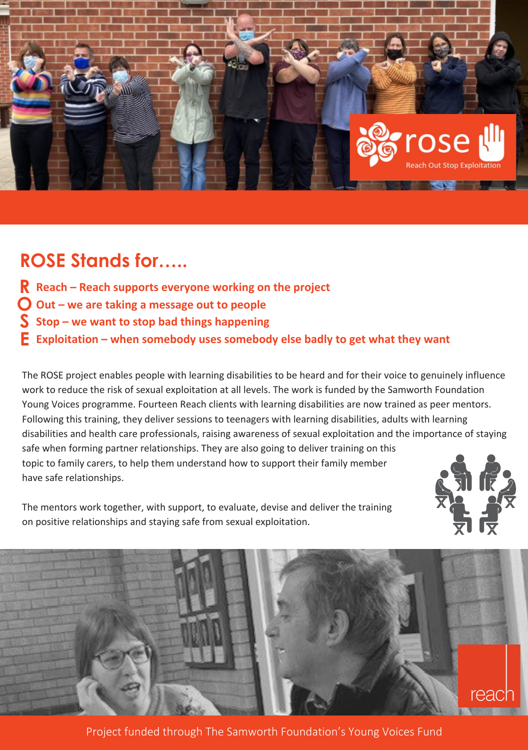

## **ROSE Stands for…..**

- **Reach – Reach supports everyone working on the project R**
- **Out – we are taking a message out to people O**
- **Stop – we want to stop bad things happening S**
- **Exploitation – when somebody uses somebody else badly to get what they want E**

The ROSE project enables people with learning disabilities to be heard and for their voice to genuinely influence work to reduce the risk of sexual exploitation at all levels. The work is funded by the Samworth Foundation Young Voices programme. Fourteen Reach clients with learning disabilities are now trained as peer mentors. Following this training, they deliver sessions to teenagers with learning disabilities, adults with learning disabilities and health care professionals, raising awareness of sexual exploitation and the importance of staying safe when forming partner relationships. They are also going to deliver training on this topic to family carers, to help them understand how to support their family member have safe relationships.





rea

Project funded through The Samworth Foundation's Young Voices Fund